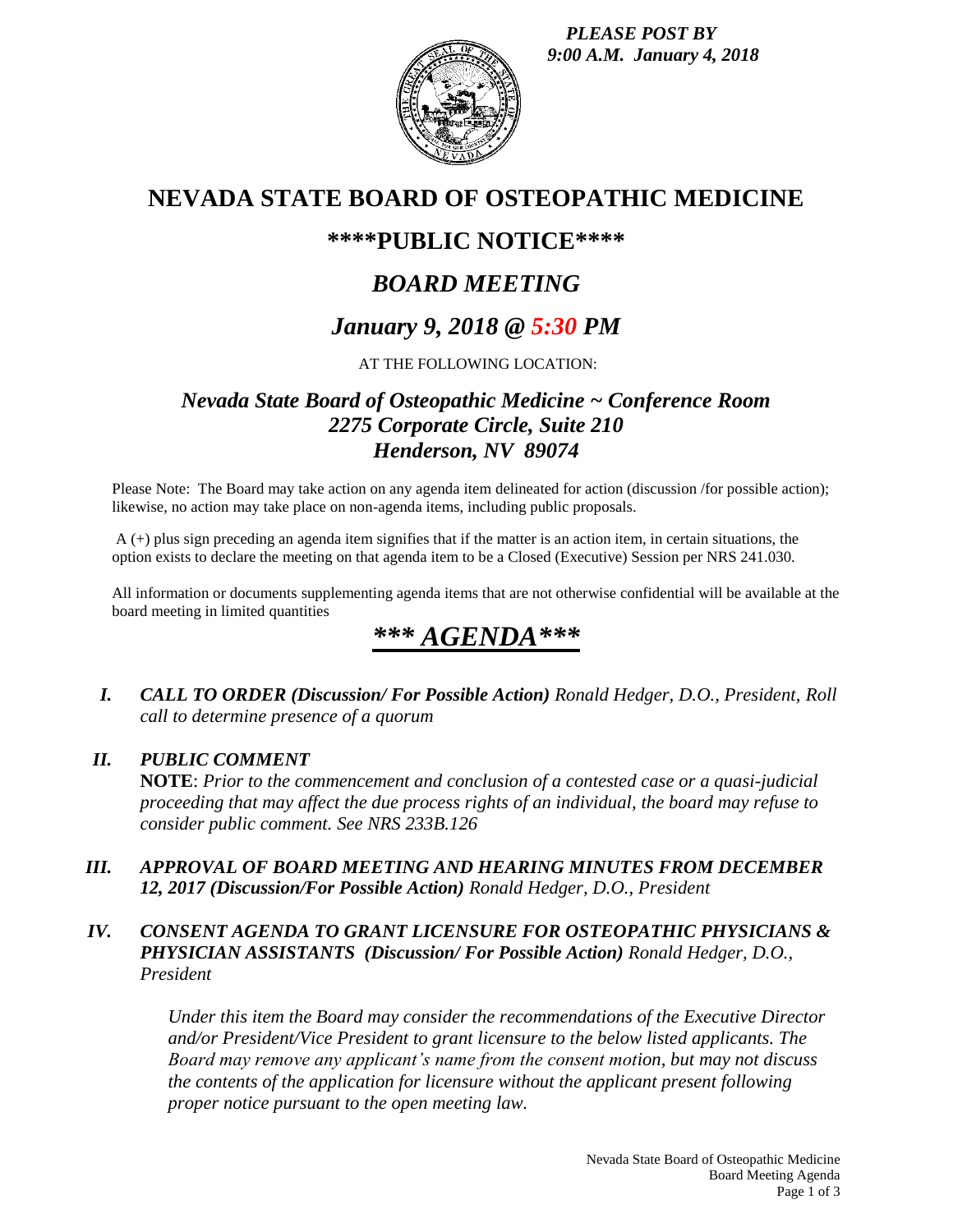*PLEASE POST BY 9:00 A.M. January 4, 2018*



# **NEVADA STATE BOARD OF OSTEOPATHIC MEDICINE**

# **\*\*\*\*PUBLIC NOTICE\*\*\*\***

# *BOARD MEETING*

# *January 9, 2018 @ 5:30 PM*

## AT THE FOLLOWING LOCATION:

## *Nevada State Board of Osteopathic Medicine ~ Conference Room 2275 Corporate Circle, Suite 210 Henderson, NV 89074*

Please Note: The Board may take action on any agenda item delineated for action (discussion /for possible action); likewise, no action may take place on non-agenda items, including public proposals.

A (+) plus sign preceding an agenda item signifies that if the matter is an action item, in certain situations, the option exists to declare the meeting on that agenda item to be a Closed (Executive) Session per NRS 241.030.

All information or documents supplementing agenda items that are not otherwise confidential will be available at the board meeting in limited quantities

# *\*\*\* AGENDA\*\*\**

*I. CALL TO ORDER (Discussion/ For Possible Action) Ronald Hedger, D.O., President, Roll call to determine presence of a quorum*

### *II. PUBLIC COMMENT*

**NOTE**: *Prior to the commencement and conclusion of a contested case or a quasi-judicial proceeding that may affect the due process rights of an individual, the board may refuse to consider public comment. See NRS 233B.126*

*III. APPROVAL OF BOARD MEETING AND HEARING MINUTES FROM DECEMBER 12, 2017 (Discussion/For Possible Action) Ronald Hedger, D.O., President*

## *IV. CONSENT AGENDA TO GRANT LICENSURE FOR OSTEOPATHIC PHYSICIANS & PHYSICIAN ASSISTANTS (Discussion/ For Possible Action) Ronald Hedger, D.O., President*

*Under this item the Board may consider the recommendations of the Executive Director and/or President/Vice President to grant licensure to the below listed applicants. The Board may remove any applicant's name from the consent motion, but may not discuss the contents of the application for licensure without the applicant present following proper notice pursuant to the open meeting law.*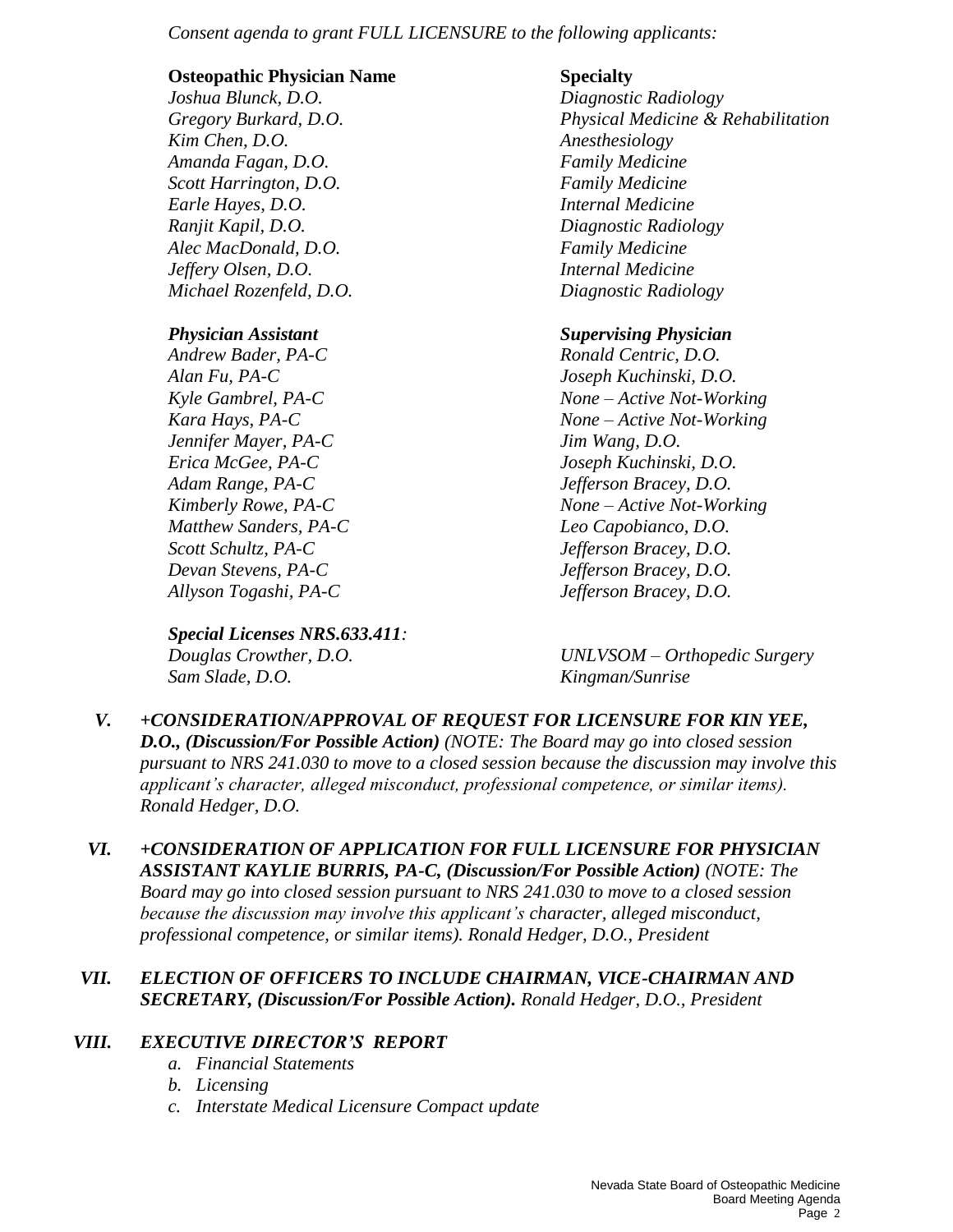*Consent agenda to grant FULL LICENSURE to the following applicants:*

#### **Osteopathic Physician Name Specialty**

*Joshua Blunck, D.O. Diagnostic Radiology Kim Chen, D.O. Anesthesiology Amanda Fagan, D.O. Family Medicine Scott Harrington, D.O. Family Medicine Earle Hayes, D.O. Internal Medicine Ranjit Kapil, D.O. Diagnostic Radiology Alec MacDonald, D.O. Family Medicine Jeffery Olsen, D.O. Internal Medicine Michael Rozenfeld, D.O. Diagnostic Radiology*

*Andrew Bader, PA-C Ronald Centric, D.O. Alan Fu, PA-C Joseph Kuchinski, D.O. Jennifer Mayer, PA-C Jim Wang, D.O. Erica McGee, PA-C Joseph Kuchinski, D.O. Adam Range, PA-C Jefferson Bracey, D.O. Matthew Sanders, PA-C Leo Capobianco, D.O. Scott Schultz, PA-C Jefferson Bracey, D.O. Devan Stevens, PA-C Jefferson Bracey, D.O. Allyson Togashi, PA-C Jefferson Bracey, D.O.*

*Special Licenses NRS.633.411: Sam Slade, D.O. Kingman/Sunrise*

*Gregory Burkard, D.O. Physical Medicine & Rehabilitation*

## *Physician Assistant Supervising Physician*

*Kyle Gambrel, PA-C None – Active Not-Working Kara Hays, PA-C None – Active Not-Working Kimberly Rowe, PA-C None – Active Not-Working*

*Douglas Crowther, D.O. UNLVSOM – Orthopedic Surgery*

- *V. +CONSIDERATION/APPROVAL OF REQUEST FOR LICENSURE FOR KIN YEE, D.O., (Discussion/For Possible Action) (NOTE: The Board may go into closed session pursuant to NRS 241.030 to move to a closed session because the discussion may involve this applicant's character, alleged misconduct, professional competence, or similar items). Ronald Hedger, D.O.*
- *VI. +CONSIDERATION OF APPLICATION FOR FULL LICENSURE FOR PHYSICIAN ASSISTANT KAYLIE BURRIS, PA-C, (Discussion/For Possible Action) (NOTE: The Board may go into closed session pursuant to NRS 241.030 to move to a closed session because the discussion may involve this applicant's character, alleged misconduct, professional competence, or similar items). Ronald Hedger, D.O., President*

### *VII. ELECTION OF OFFICERS TO INCLUDE CHAIRMAN, VICE-CHAIRMAN AND SECRETARY, (Discussion/For Possible Action). Ronald Hedger, D.O., President*

## *VIII. EXECUTIVE DIRECTOR'S REPORT*

- *a. Financial Statements*
- *b. Licensing*
- *c. Interstate Medical Licensure Compact update*